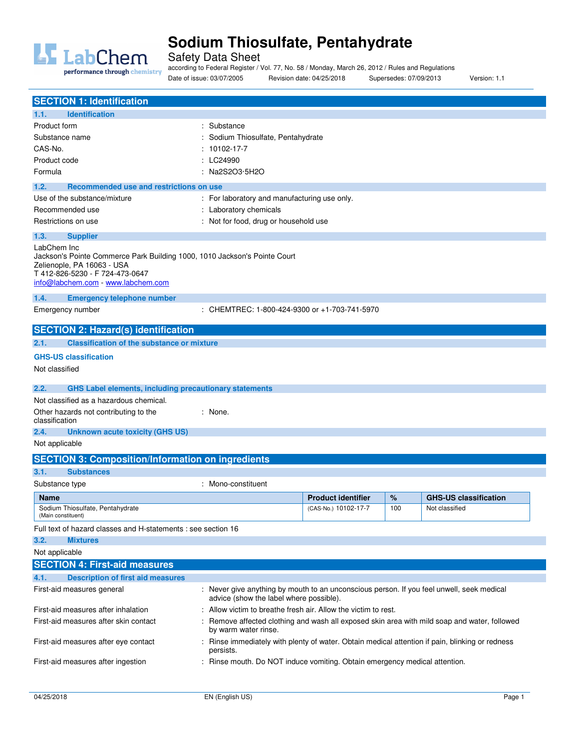

Safety Data Sheet

performance through chemistry

according to Federal Register / Vol. 77, No. 58 / Monday, March 26, 2012 / Rules and Regulations

Date of issue: 03/07/2005 Revision date: 04/25/2018 Supersedes: 07/09/2013 Version: 1.1

| <b>SECTION 1: Identification</b><br><b>Identification</b>                                                                                                                                       |                                                                                                                      |                           |     |                              |
|-------------------------------------------------------------------------------------------------------------------------------------------------------------------------------------------------|----------------------------------------------------------------------------------------------------------------------|---------------------------|-----|------------------------------|
| 1.1.                                                                                                                                                                                            | : Substance                                                                                                          |                           |     |                              |
| Product form<br>Substance name                                                                                                                                                                  | : Sodium Thiosulfate, Pentahydrate                                                                                   |                           |     |                              |
| CAS-No.                                                                                                                                                                                         | $: 10102 - 17 - 7$                                                                                                   |                           |     |                              |
| Product code                                                                                                                                                                                    | : LC24990                                                                                                            |                           |     |                              |
| Formula                                                                                                                                                                                         | : Na2S2O3·5H2O                                                                                                       |                           |     |                              |
|                                                                                                                                                                                                 |                                                                                                                      |                           |     |                              |
| 1.2.<br>Recommended use and restrictions on use                                                                                                                                                 |                                                                                                                      |                           |     |                              |
| Use of the substance/mixture                                                                                                                                                                    | : For laboratory and manufacturing use only.                                                                         |                           |     |                              |
| Recommended use                                                                                                                                                                                 | : Laboratory chemicals                                                                                               |                           |     |                              |
| Restrictions on use                                                                                                                                                                             | : Not for food, drug or household use                                                                                |                           |     |                              |
| 1.3.<br><b>Supplier</b>                                                                                                                                                                         |                                                                                                                      |                           |     |                              |
| LabChem Inc<br>Jackson's Pointe Commerce Park Building 1000, 1010 Jackson's Pointe Court<br>Zelienople, PA 16063 - USA<br>T 412-826-5230 - F 724-473-0647<br>info@labchem.com - www.labchem.com |                                                                                                                      |                           |     |                              |
| 1.4.<br><b>Emergency telephone number</b>                                                                                                                                                       |                                                                                                                      |                           |     |                              |
| Emergency number                                                                                                                                                                                | : CHEMTREC: 1-800-424-9300 or +1-703-741-5970                                                                        |                           |     |                              |
|                                                                                                                                                                                                 |                                                                                                                      |                           |     |                              |
| <b>SECTION 2: Hazard(s) identification</b>                                                                                                                                                      |                                                                                                                      |                           |     |                              |
| 2.1.<br><b>Classification of the substance or mixture</b>                                                                                                                                       |                                                                                                                      |                           |     |                              |
| <b>GHS-US classification</b>                                                                                                                                                                    |                                                                                                                      |                           |     |                              |
| Not classified                                                                                                                                                                                  |                                                                                                                      |                           |     |                              |
| 2.2.<br><b>GHS Label elements, including precautionary statements</b>                                                                                                                           |                                                                                                                      |                           |     |                              |
| Not classified as a hazardous chemical.                                                                                                                                                         |                                                                                                                      |                           |     |                              |
| Other hazards not contributing to the                                                                                                                                                           | : None.                                                                                                              |                           |     |                              |
| classification                                                                                                                                                                                  |                                                                                                                      |                           |     |                              |
| 2.4.<br><b>Unknown acute toxicity (GHS US)</b>                                                                                                                                                  |                                                                                                                      |                           |     |                              |
| Not applicable                                                                                                                                                                                  |                                                                                                                      |                           |     |                              |
| <b>SECTION 3: Composition/Information on ingredients</b>                                                                                                                                        |                                                                                                                      |                           |     |                              |
| 3.1.<br><b>Substances</b>                                                                                                                                                                       |                                                                                                                      |                           |     |                              |
| Substance type                                                                                                                                                                                  | : Mono-constituent                                                                                                   |                           |     |                              |
| <b>Name</b>                                                                                                                                                                                     |                                                                                                                      | <b>Product identifier</b> | %   | <b>GHS-US classification</b> |
| Sodium Thiosulfate, Pentahydrate<br>(Main constituent)                                                                                                                                          |                                                                                                                      | (CAS-No.) 10102-17-7      | 100 | Not classified               |
| Full text of hazard classes and H-statements : see section 16                                                                                                                                   |                                                                                                                      |                           |     |                              |
| 3.2.<br><b>Mixtures</b>                                                                                                                                                                         |                                                                                                                      |                           |     |                              |
| Not applicable                                                                                                                                                                                  |                                                                                                                      |                           |     |                              |
| <b>SECTION 4: First-aid measures</b>                                                                                                                                                            |                                                                                                                      |                           |     |                              |
| 4.1.<br><b>Description of first aid measures</b>                                                                                                                                                |                                                                                                                      |                           |     |                              |
| First-aid measures general                                                                                                                                                                      | : Never give anything by mouth to an unconscious person. If you feel unwell, seek medical                            |                           |     |                              |
|                                                                                                                                                                                                 | advice (show the label where possible).                                                                              |                           |     |                              |
| First-aid measures after inhalation                                                                                                                                                             | : Allow victim to breathe fresh air. Allow the victim to rest.                                                       |                           |     |                              |
| First-aid measures after skin contact                                                                                                                                                           | : Remove affected clothing and wash all exposed skin area with mild soap and water, followed<br>by warm water rinse. |                           |     |                              |
| First-aid measures after eye contact                                                                                                                                                            | Rinse immediately with plenty of water. Obtain medical attention if pain, blinking or redness<br>persists.           |                           |     |                              |
| First-aid measures after ingestion                                                                                                                                                              | : Rinse mouth. Do NOT induce vomiting. Obtain emergency medical attention.                                           |                           |     |                              |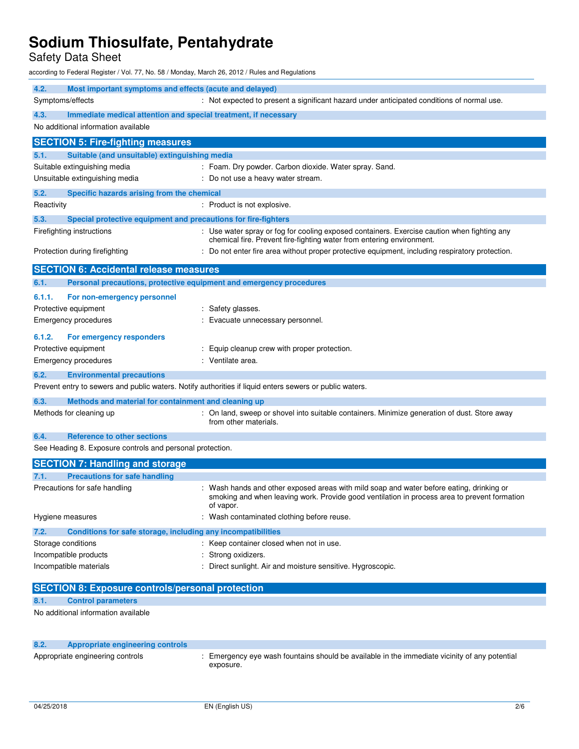Safety Data Sheet

according to Federal Register / Vol. 77, No. 58 / Monday, March 26, 2012 / Rules and Regulations

| 4.2.<br>Most important symptoms and effects (acute and delayed)                                         |                                                                                                                                                                                                     |  |
|---------------------------------------------------------------------------------------------------------|-----------------------------------------------------------------------------------------------------------------------------------------------------------------------------------------------------|--|
| Symptoms/effects                                                                                        | : Not expected to present a significant hazard under anticipated conditions of normal use.                                                                                                          |  |
| 4.3.<br>Immediate medical attention and special treatment, if necessary                                 |                                                                                                                                                                                                     |  |
| No additional information available                                                                     |                                                                                                                                                                                                     |  |
| <b>SECTION 5: Fire-fighting measures</b>                                                                |                                                                                                                                                                                                     |  |
| Suitable (and unsuitable) extinguishing media<br>5.1.                                                   |                                                                                                                                                                                                     |  |
|                                                                                                         |                                                                                                                                                                                                     |  |
| Suitable extinguishing media<br>Unsuitable extinguishing media                                          | : Foam. Dry powder. Carbon dioxide. Water spray. Sand.                                                                                                                                              |  |
|                                                                                                         | : Do not use a heavy water stream.                                                                                                                                                                  |  |
| 5.2.<br>Specific hazards arising from the chemical                                                      |                                                                                                                                                                                                     |  |
| Reactivity                                                                                              | : Product is not explosive.                                                                                                                                                                         |  |
| Special protective equipment and precautions for fire-fighters<br>5.3.                                  |                                                                                                                                                                                                     |  |
| Firefighting instructions                                                                               | : Use water spray or fog for cooling exposed containers. Exercise caution when fighting any                                                                                                         |  |
|                                                                                                         | chemical fire. Prevent fire-fighting water from entering environment.                                                                                                                               |  |
| Protection during firefighting                                                                          | : Do not enter fire area without proper protective equipment, including respiratory protection.                                                                                                     |  |
| <b>SECTION 6: Accidental release measures</b>                                                           |                                                                                                                                                                                                     |  |
| Personal precautions, protective equipment and emergency procedures<br>6.1.                             |                                                                                                                                                                                                     |  |
|                                                                                                         |                                                                                                                                                                                                     |  |
| 6.1.1.<br>For non-emergency personnel                                                                   |                                                                                                                                                                                                     |  |
| Protective equipment                                                                                    | : Safety glasses.                                                                                                                                                                                   |  |
| <b>Emergency procedures</b>                                                                             | : Evacuate unnecessary personnel.                                                                                                                                                                   |  |
| 6.1.2.<br>For emergency responders                                                                      |                                                                                                                                                                                                     |  |
| Protective equipment                                                                                    | : Equip cleanup crew with proper protection.                                                                                                                                                        |  |
| Emergency procedures                                                                                    | : Ventilate area.                                                                                                                                                                                   |  |
| 6.2.<br><b>Environmental precautions</b>                                                                |                                                                                                                                                                                                     |  |
| Prevent entry to sewers and public waters. Notify authorities if liquid enters sewers or public waters. |                                                                                                                                                                                                     |  |
|                                                                                                         |                                                                                                                                                                                                     |  |
| 6.3.<br>Methods and material for containment and cleaning up                                            |                                                                                                                                                                                                     |  |
| Methods for cleaning up                                                                                 | : On land, sweep or shovel into suitable containers. Minimize generation of dust. Store away<br>from other materials.                                                                               |  |
| 6.4.<br>Reference to other sections                                                                     |                                                                                                                                                                                                     |  |
| See Heading 8. Exposure controls and personal protection.                                               |                                                                                                                                                                                                     |  |
|                                                                                                         |                                                                                                                                                                                                     |  |
| <b>SECTION 7: Handling and storage</b>                                                                  |                                                                                                                                                                                                     |  |
| <b>Precautions for safe handling</b><br>7.1.                                                            |                                                                                                                                                                                                     |  |
| Precautions for safe handling                                                                           | Wash hands and other exposed areas with mild soap and water before eating, drinking or<br>smoking and when leaving work. Provide good ventilation in process area to prevent formation<br>of vapor. |  |
| Hygiene measures                                                                                        | : Wash contaminated clothing before reuse.                                                                                                                                                          |  |
| 7.2.<br>Conditions for safe storage, including any incompatibilities                                    |                                                                                                                                                                                                     |  |
| Storage conditions                                                                                      | : Keep container closed when not in use.                                                                                                                                                            |  |
| Incompatible products                                                                                   | Strong oxidizers.                                                                                                                                                                                   |  |
| Incompatible materials                                                                                  | Direct sunlight. Air and moisture sensitive. Hygroscopic.                                                                                                                                           |  |
|                                                                                                         |                                                                                                                                                                                                     |  |
| <b>SECTION 8: Exposure controls/personal protection</b>                                                 |                                                                                                                                                                                                     |  |
| <b>Control parameters</b><br>8.1.                                                                       |                                                                                                                                                                                                     |  |
| No additional information available                                                                     |                                                                                                                                                                                                     |  |
|                                                                                                         |                                                                                                                                                                                                     |  |

| 8.2. | Appropriate engineering controls |                                                                                                            |
|------|----------------------------------|------------------------------------------------------------------------------------------------------------|
|      | Appropriate engineering controls | : Emergency eve wash fountains should be available in the immediate vicinity of any potential<br>exposure. |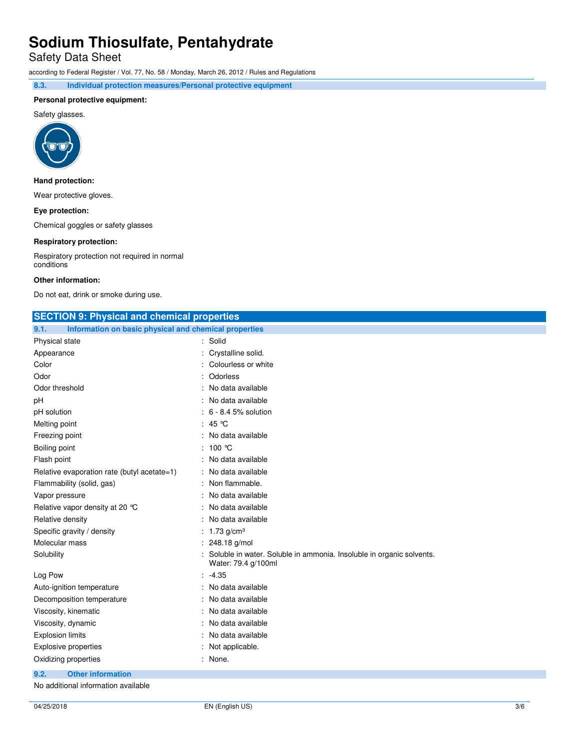Safety Data Sheet

according to Federal Register / Vol. 77, No. 58 / Monday, March 26, 2012 / Rules and Regulations

**8.3. Individual protection measures/Personal protective equipment** 

### **Personal protective equipment:**

Safety glasses.



### **Hand protection:**

Wear protective gloves.

### **Eye protection:**

Chemical goggles or safety glasses

### **Respiratory protection:**

Respiratory protection not required in normal conditions

### **Other information:**

Do not eat, drink or smoke during use.

| <b>SECTION 9: Physical and chemical properties</b>            |                                                                                             |  |
|---------------------------------------------------------------|---------------------------------------------------------------------------------------------|--|
| Information on basic physical and chemical properties<br>9.1. |                                                                                             |  |
| Physical state                                                | : Solid                                                                                     |  |
| Appearance                                                    | Crystalline solid.                                                                          |  |
| Color                                                         | Colourless or white                                                                         |  |
| Odor                                                          | Odorless                                                                                    |  |
| Odor threshold                                                | No data available                                                                           |  |
| рH                                                            | No data available                                                                           |  |
| pH solution                                                   | 6 - 8.4 5% solution                                                                         |  |
| Melting point                                                 | 45 ℃                                                                                        |  |
| Freezing point                                                | No data available                                                                           |  |
| Boiling point                                                 | 100 ℃                                                                                       |  |
| Flash point                                                   | No data available                                                                           |  |
| Relative evaporation rate (butyl acetate=1)                   | No data available                                                                           |  |
| Flammability (solid, gas)                                     | Non flammable.                                                                              |  |
| Vapor pressure                                                | No data available                                                                           |  |
| Relative vapor density at 20 °C                               | No data available                                                                           |  |
| Relative density                                              | No data available                                                                           |  |
| Specific gravity / density                                    | : $1.73$ g/cm <sup>3</sup>                                                                  |  |
| Molecular mass                                                | 248.18 g/mol                                                                                |  |
| Solubility                                                    | Soluble in water. Soluble in ammonia. Insoluble in organic solvents.<br>Water: 79.4 g/100ml |  |
| Log Pow                                                       | $-4.35$                                                                                     |  |
| Auto-ignition temperature                                     | No data available                                                                           |  |
| Decomposition temperature                                     | No data available                                                                           |  |
| Viscosity, kinematic                                          | No data available                                                                           |  |
| Viscosity, dynamic                                            | No data available                                                                           |  |
| <b>Explosion limits</b>                                       | No data available                                                                           |  |
| <b>Explosive properties</b>                                   | Not applicable.                                                                             |  |
| Oxidizing properties                                          | None.                                                                                       |  |

**9.2. Other information** 

No additional information available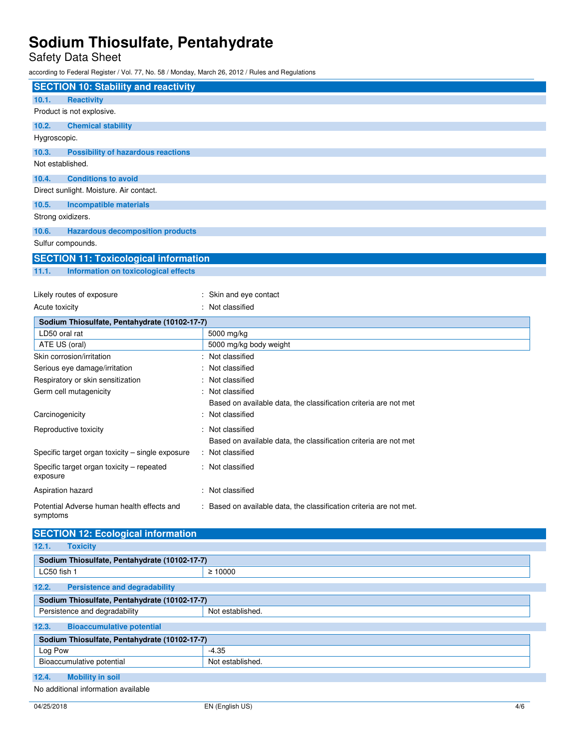Safety Data Sheet

according to Federal Register / Vol. 77, No. 58 / Monday, March 26, 2012 / Rules and Regulations

| <b>SECTION 10: Stability and reactivity</b>        |                                                                     |
|----------------------------------------------------|---------------------------------------------------------------------|
| 10.1.<br><b>Reactivity</b>                         |                                                                     |
| Product is not explosive.                          |                                                                     |
| 10.2.<br><b>Chemical stability</b>                 |                                                                     |
| Hygroscopic.                                       |                                                                     |
| 10.3.<br><b>Possibility of hazardous reactions</b> |                                                                     |
| Not established.                                   |                                                                     |
| 10.4.<br><b>Conditions to avoid</b>                |                                                                     |
| Direct sunlight. Moisture. Air contact.            |                                                                     |
|                                                    |                                                                     |
| 10.5.<br><b>Incompatible materials</b>             |                                                                     |
| Strong oxidizers.                                  |                                                                     |
| 10.6.<br><b>Hazardous decomposition products</b>   |                                                                     |
| Sulfur compounds.                                  |                                                                     |
| <b>SECTION 11: Toxicological information</b>       |                                                                     |
| 11.1.<br>Information on toxicological effects      |                                                                     |
|                                                    |                                                                     |
| Likely routes of exposure                          | : Skin and eye contact                                              |
| Acute toxicity                                     | : Not classified                                                    |
| Sodium Thiosulfate, Pentahydrate (10102-17-7)      |                                                                     |
| LD50 oral rat                                      | 5000 mg/kg                                                          |
| ATE US (oral)                                      | 5000 mg/kg body weight                                              |
| Skin corrosion/irritation                          | Not classified                                                      |
| Serious eye damage/irritation                      | Not classified                                                      |
| Respiratory or skin sensitization                  | Not classified                                                      |
| Germ cell mutagenicity                             | : Not classified                                                    |
|                                                    | Based on available data, the classification criteria are not met    |
| Carcinogenicity                                    | : Not classified                                                    |
| Reproductive toxicity                              | : Not classified                                                    |
|                                                    | Based on available data, the classification criteria are not met    |
| Specific target organ toxicity - single exposure   | : Not classified                                                    |
| Specific target organ toxicity - repeated          | : Not classified                                                    |
| exposure                                           |                                                                     |
| Aspiration hazard                                  | : Not classified                                                    |
| Potential Adverse human health effects and         | : Based on available data, the classification criteria are not met. |
| symptoms                                           |                                                                     |
|                                                    |                                                                     |
| <b>SECTION 12: Ecological information</b>          |                                                                     |
| 12.1.<br><b>Toxicity</b>                           |                                                                     |
| Sodium Thiosulfate, Pentahydrate (10102-17-7)      |                                                                     |
| LC50 fish 1                                        | $\geq 10000$                                                        |
| <b>Persistence and degradability</b><br>12.2.      |                                                                     |
| Sodium Thiosulfate, Pentahydrate (10102-17-7)      |                                                                     |
| Persistence and degradability                      | Not established.                                                    |
| <b>Bioaccumulative potential</b><br>12.3.          |                                                                     |
| Sodium Thiosulfate, Pentahydrate (10102-17-7)      |                                                                     |
| Log Pow                                            | $-4.35$                                                             |
| Bioaccumulative potential                          | Not established.                                                    |
| 12.4.<br><b>Mobility in soil</b>                   |                                                                     |
| No additional information available                |                                                                     |
|                                                    |                                                                     |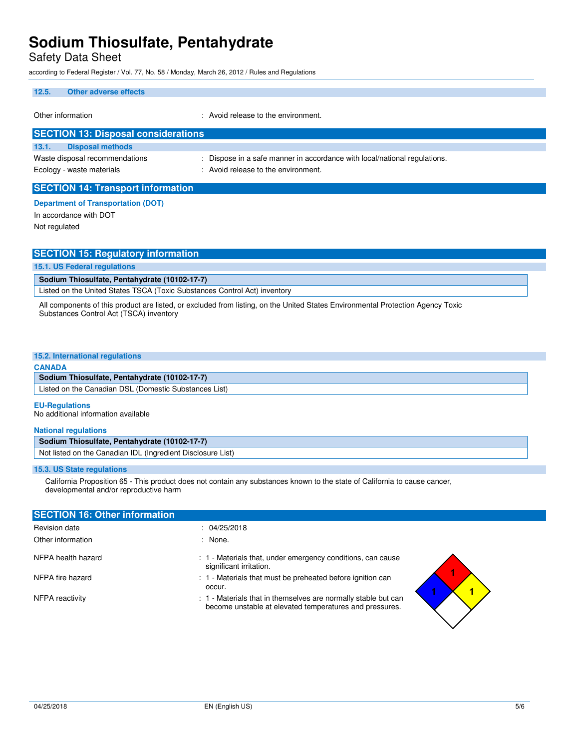Safety Data Sheet

according to Federal Register / Vol. 77, No. 58 / Monday, March 26, 2012 / Rules and Regulations

### **12.5. Other adverse effects**

Other information  $\cdot$  Avoid release to the environment.

| <b>SECTION 13: Disposal considerations</b> |                                                                           |
|--------------------------------------------|---------------------------------------------------------------------------|
| <b>Disposal methods</b><br>13.1.           |                                                                           |
| Waste disposal recommendations             | : Dispose in a safe manner in accordance with local/national regulations. |
| Ecology - waste materials                  | : Avoid release to the environment.                                       |
|                                            |                                                                           |

### **SECTION 14: Transport information**

### **Department of Transportation (DOT)**

In accordance with DOT Not regulated

| <b>SECTION 15: Regulatory information</b>                                 |
|---------------------------------------------------------------------------|
| 15.1. US Federal regulations                                              |
| Sodium Thiosulfate, Pentahydrate (10102-17-7)                             |
| Listed on the United States TSCA (Toxic Substances Control Act) inventory |

All components of this product are listed, or excluded from listing, on the United States Environmental Protection Agency Toxic Substances Control Act (TSCA) inventory

### **15.2. International regulations**

### **CANADA**

| Sodium Thiosulfate, Pentahydrate (10102-17-7) |  |
|-----------------------------------------------|--|
|-----------------------------------------------|--|

Listed on the Canadian DSL (Domestic Substances List)

### **EU-Regulations**

No additional information available

### **National regulations**

### **Sodium Thiosulfate, Pentahydrate (10102-17-7)**

Not listed on the Canadian IDL (Ingredient Disclosure List)

### **15.3. US State regulations**

 California Proposition 65 - This product does not contain any substances known to the state of California to cause cancer, developmental and/or reproductive harm

| <b>SECTION 16: Other information</b> |                                                                                                                           |
|--------------------------------------|---------------------------------------------------------------------------------------------------------------------------|
| Revision date                        | : 04/25/2018                                                                                                              |
| Other information                    | : None.                                                                                                                   |
| NFPA health hazard                   | : 1 - Materials that, under emergency conditions, can cause<br>significant irritation.                                    |
| NFPA fire hazard                     | : 1 - Materials that must be preheated before ignition can<br>occur.                                                      |
| NFPA reactivity                      | : 1 - Materials that in themselves are normally stable but can<br>become unstable at elevated temperatures and pressures. |